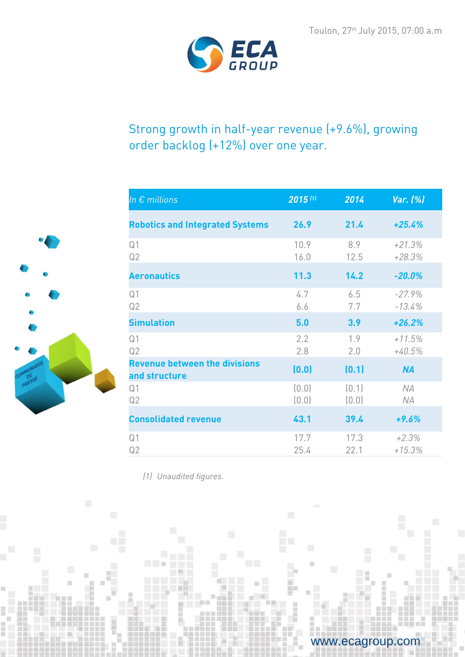www.ecagroup.com



# Strong growth in half-year revenue (+9.6%), growing order backlog (+12%) over one year.

| In $\epsilon$ millions                                | $2015$ <sup>[1]</sup> | 2014           | Var. (%)             |
|-------------------------------------------------------|-----------------------|----------------|----------------------|
| <b>Robotics and Integrated Systems</b>                | 26.9                  | 21.4           | $+25.4%$             |
| Q <sub>1</sub><br>Q2                                  | 10.9<br>16.0          | 8.9<br>12.5    | $+21.3%$<br>$+28.3%$ |
| <b>Aeronautics</b>                                    | 11.3                  | 14.2           | $-20.0%$             |
| Q <sub>1</sub><br>Q2                                  | 4.7<br>6.6            | 6.5<br>7.7     | $-27.9%$<br>$-13.4%$ |
| <b>Simulation</b>                                     | 5.0                   | 3.9            | $+26.2%$             |
| Q <sub>1</sub><br>Q2                                  | 2.2<br>2.8            | 1.9<br>2.0     | $+11.5%$<br>$+40.5%$ |
| <b>Revenue between the divisions</b><br>and structure | (0.0)                 | (0.1)          | <b>NA</b>            |
| Q <sub>1</sub><br>Q2                                  | (0.0)<br>(0.0)        | (0.1)<br>(0.0) | NA<br>ΝA             |
| <b>Consolidated revenue</b>                           | 43.1                  | 39.4           | $+9.6%$              |
| Q <sub>1</sub><br>Q2                                  | 17.7<br>25.4          | 17.3<br>22.1   | $+2.3%$<br>$+15.3%$  |

*(1) Unaudited figures.*

 $\Box$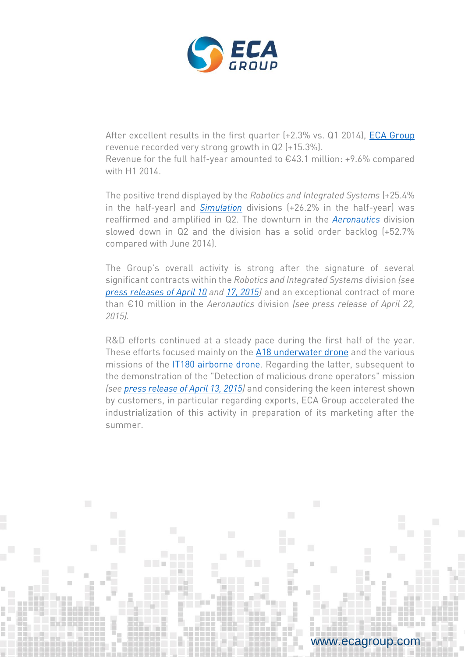

After excellent results in the first quarter (+2.3% vs. Q1 2014), [ECA Group](http://www.ecagroup.com/) revenue recorded very strong growth in Q2 (+15.3%).

Revenue for the full half-year amounted to  $£43.1$  million: +9.6% compared with H1 2014.

The positive trend displayed by the *Robotics and Integrated Systems* (+25.4% in the half-year) and *[Simulation](http://www.ecagroup.com/en/training-simulation*)* divisions (+26.2% in the half-year) was reaffirmed and amplified in Q2. The downturn in the *[Aeronautics](http://www.ecagroup.com/en/aerospace)* division slowed down in Q2 and the division has a solid order backlog (+52.7% compared with June 2014).

The Group's overall activity is strong after the signature of several significant contracts within the *Robotics and Integrated Systems* division *(see [press releases of April 10](http://www.ecagroup.com/en/financial/underwater-mine-countermeasure-future-eca-group-set-develop-autonomous-underwater-vehicles) and [17, 2015\)](http://www.ecagroup.com/en/financial/eca-group-confirms-its-role-global-player-unmanned-surface-vehicles)* and an exceptional contract of more than €10 million in the *Aeronautics* division *(see press release of April 22, 2015).*

R&D efforts continued at a steady pace during the first half of the year. These efforts focused mainly on the [A18 underwater drone](http://www.ecagroup.com/en/solutions/a18d) and the various missions of the [IT180 airborne drone.](http://www.ecagroup.com/en/find-your-eca-solutions/infotron) Regarding the latter, subsequent to the demonstration of the "Detection of malicious drone operators" mission *(see [press release of April 13, 2015\)](http://www.ecagroup.com/en/financial/neutralization-malicious-drones-eca-group-innovating-and-validates-unique-technology)* and considering the keen interest shown by customers, in particular regarding exports, ECA Group accelerated the industrialization of this activity in preparation of its marketing after the summer.

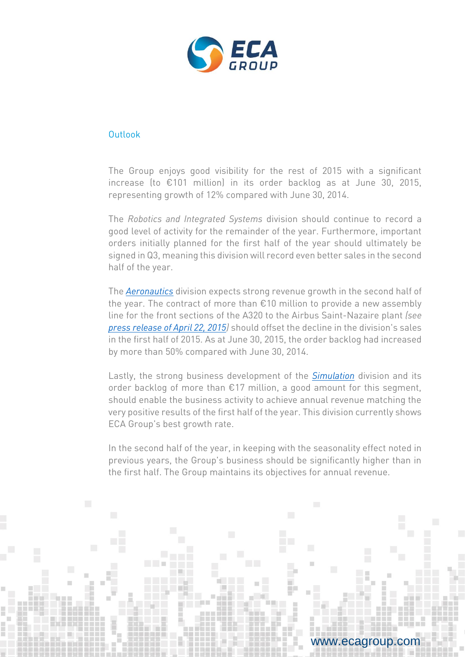

## **Outlook**

The Group enjoys good visibility for the rest of 2015 with a significant increase (to €101 million) in its order backlog as at June 30, 2015, representing growth of 12% compared with June 30, 2014.

The *Robotics and Integrated Systems* division should continue to record a good level of activity for the remainder of the year. Furthermore, important orders initially planned for the first half of the year should ultimately be signed in Q3, meaning this division will record even better sales in the second half of the year.

The *[Aeronautics](http://www.ecagroup.com/en/aerospace)* division expects strong revenue growth in the second half of the year. The contract of more than €10 million to provide a new assembly line for the front sections of the A320 to the Airbus Saint-Nazaire plant *(see [press release of April 22, 2015\)](http://www.ecagroup.com/en/financial/eca-groups-aerospace-division-won-major-contract-over-eu10-million)* should offset the decline in the division's sales in the first half of 2015. As at June 30, 2015, the order backlog had increased by more than 50% compared with June 30, 2014.

Lastly, the strong business development of the *[Simulation](http://www.ecagroup.com/en/training-simulation)* division and its order backlog of more than €17 million, a good amount for this segment, should enable the business activity to achieve annual revenue matching the very positive results of the first half of the year. This division currently shows ECA Group's best growth rate.

In the second half of the year, in keeping with the seasonality effect noted in previous years, the Group's business should be significantly higher than in the first half. The Group maintains its objectives for annual revenue.

> Next report Half-year results released on September 10, 2015